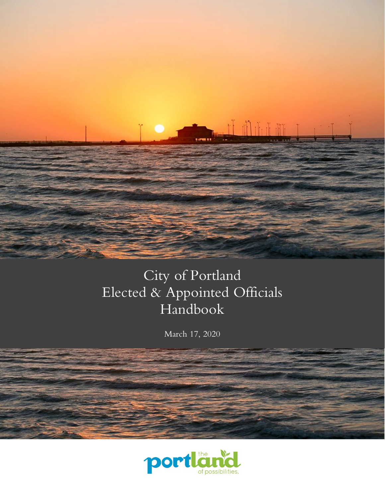

# City of Portland Elected & Appointed Officials Handbook

March 17, 2020

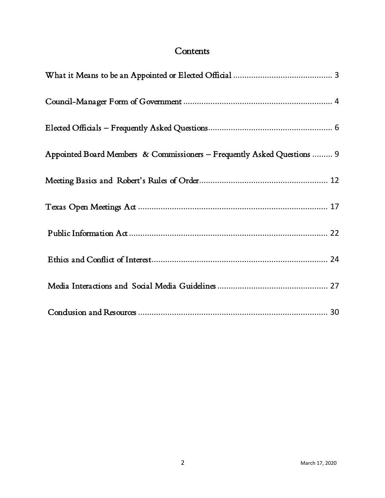# **Contents**

| Appointed Board Members & Commissioners - Frequently Asked Questions  9 |
|-------------------------------------------------------------------------|
|                                                                         |
|                                                                         |
|                                                                         |
|                                                                         |
|                                                                         |
|                                                                         |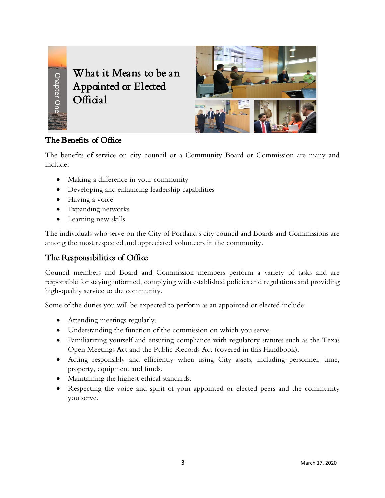

<span id="page-2-0"></span>What it Means to be an Appointed or Elected Official



## The Benefits of Office

The benefits of service on city council or a Community Board or Commission are many and include:

- Making a difference in your community
- Developing and enhancing leadership capabilities
- Having a voice
- Expanding networks
- Learning new skills

The individuals who serve on the City of Portland's city council and Boards and Commissions are among the most respected and appreciated volunteers in the community.

## The Responsibilities of Office

Council members and Board and Commission members perform a variety of tasks and are responsible for staying informed, complying with established policies and regulations and providing high-quality service to the community.

Some of the duties you will be expected to perform as an appointed or elected include:

- Attending meetings regularly.
- Understanding the function of the commission on which you serve.
- Familiarizing yourself and ensuring compliance with regulatory statutes such as the Texas Open Meetings Act and the Public Records Act (covered in this Handbook).
- Acting responsibly and efficiently when using City assets, including personnel, time, property, equipment and funds.
- Maintaining the highest ethical standards.
- Respecting the voice and spirit of your appointed or elected peers and the community you serve.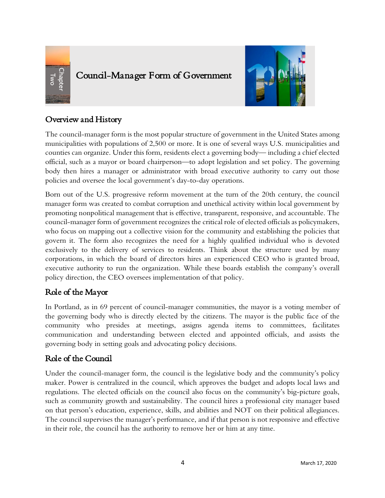

# <span id="page-3-0"></span>Council-Manager Form of Government



# Overview and History

The council-manager form is the most popular structure of government in the United States among municipalities with populations of 2,500 or more. It is one of several ways U.S. municipalities and counties can organize. Under this form, residents elect a governing body— including a chief elected official, such as a mayor or board chairperson—to adopt legislation and set policy. The governing body then hires a manager or administrator with broad executive authority to carry out those policies and oversee the local government's day-to-day operations.

Born out of the U.S. progressive reform movement at the turn of the 20th century, the council manager form was created to combat corruption and unethical activity within local government by promoting nonpolitical management that is effective, transparent, responsive, and accountable. The council-manager form of government recognizes the critical role of elected officials as policymakers, who focus on mapping out a collective vision for the community and establishing the policies that govern it. The form also recognizes the need for a highly qualified individual who is devoted exclusively to the delivery of services to residents. Think about the structure used by many corporations, in which the board of directors hires an experienced CEO who is granted broad, executive authority to run the organization. While these boards establish the company's overall policy direction, the CEO oversees implementation of that policy. **Example 16**<br> **Example 16**<br> **Example 16**<br> **Council-manger Form of Government Theorem and History**<br>
The council-manger form is the most popular structure of government in the<br>
Imministration and structure of the authoritie

## Role of the Mayor

In Portland, as in 69 percent of council-manager communities, the mayor is a voting member of the governing body who is directly elected by the citizens. The mayor is the public face of the community who presides at meetings, assigns agenda items to committees, facilitates communication and understanding between elected and appointed officials, and assists the governing body in setting goals and advocating policy decisions.

## Role of the Council

Under the council-manager form, the council is the legislative body and the community's policy maker. Power is centralized in the council, which approves the budget and adopts local laws and regulations. The elected officials on the council also focus on the community's big-picture goals, such as community growth and sustainability. The council hires a professional city manager based on that person's education, experience, skills, and abilities and NOT on their political allegiances. The council supervises the manager's performance, and if that person is not responsive and effective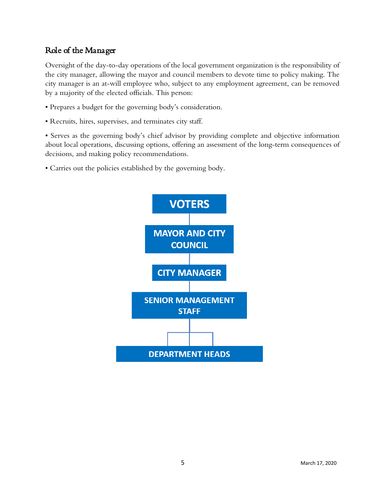## Role of the Manager

Oversight of the day-to-day operations of the local government organization is the responsibility of the city manager, allowing the mayor and council members to devote time to policy making. The city manager is an at-will employee who, subject to any employment agreement, can be removed by a majority of the elected officials. This person:

- Prepares a budget for the governing body's consideration.
- Recruits, hires, supervises, and terminates city staff.

• Serves as the governing body's chief advisor by providing complete and objective information about local operations, discussing options, offering an assessment of the long-term consequences of decisions, and making policy recommendations.

• Carries out the policies established by the governing body.

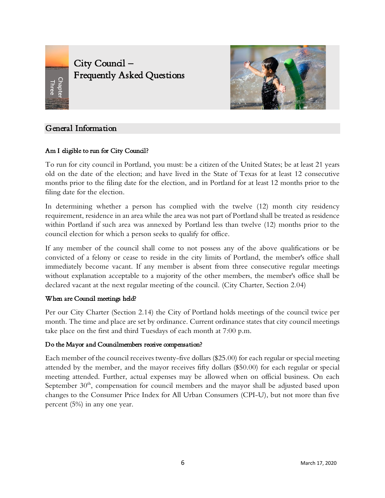<span id="page-5-0"></span>

City Council -Frequently Asked Questions



## General Information

#### Am I eligible to run for City Council?

To run for city council in Portland, you must: be a citizen of the United States; be at least 21 years old on the date of the election; and have lived in the State of Texas for at least 12 consecutive months prior to the filing date for the election, and in Portland for at least 12 months prior to the filing date for the election.

In determining whether a person has complied with the twelve (12) month city residency requirement, residence in an area while the area was not part of Portland shall be treated as residence within Portland if such area was annexed by Portland less than twelve (12) months prior to the council election for which a person seeks to qualify for office.

If any member of the council shall come to not possess any of the above qualifications or be convicted of a felony or cease to reside in the city limits of Portland, the member's office shall immediately become vacant. If any member is absent from three consecutive regular meetings without explanation acceptable to a majority of the other members, the member's office shall be declared vacant at the next regular meeting of the council. (City Charter, Section 2.04)

#### When are Council meetings held?

Per our City Charter (Section 2.14) the City of Portland holds meetings of the council twice per month. The time and place are set by ordinance. Current ordinance states that city council meetings take place on the first and third Tuesdays of each month at 7:00 p.m.

#### Do the Mayor and Councilmembers receive compensation?

Each member of the council receives twenty-five dollars (\$25.00) for each regular or special meeting attended by the member, and the mayor receives fifty dollars (\$50.00) for each regular or special meeting attended. Further, actual expenses may be allowed when on official business. On each September  $30<sup>th</sup>$ , compensation for council members and the mayor shall be adjusted based upon changes to the Consumer Price Index for All Urban Consumers (CPI-U), but not more than five percent (5%) in any one year.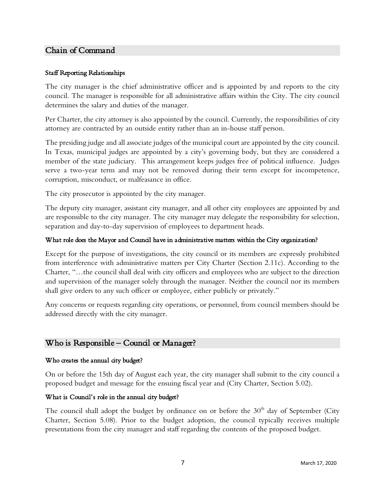## Chain of Command

#### Staff Reporting Relationships

The city manager is the chief administrative officer and is appointed by and reports to the city council. The manager is responsible for all administrative affairs within the City. The city council determines the salary and duties of the manager.

Per Charter, the city attorney is also appointed by the council. Currently, the responsibilities of city attorney are contracted by an outside entity rather than an in-house staff person.

The presiding judge and all associate judges of the municipal court are appointed by the city council. In Texas, municipal judges are appointed by a city's governing body, but they are considered a member of the state judiciary. This arrangement keeps judges free of political influence. Judges serve a two-year term and may not be removed during their term except for incompetence, corruption, misconduct, or malfeasance in office.

The city prosecutor is appointed by the city manager.

The deputy city manager, assistant city manager, and all other city employees are appointed by and are responsible to the city manager. The city manager may delegate the responsibility for selection, separation and day-to-day supervision of employees to department heads.

#### What role does the Mayor and Council have in administrative matters within the City organization?

Except for the purpose of investigations, the city council or its members are expressly prohibited from interference with administrative matters per City Charter (Section 2.11c). According to the Charter, "…the council shall deal with city officers and employees who are subject to the direction and supervision of the manager solely through the manager. Neither the council nor its members shall give orders to any such officer or employee, either publicly or privately."

Any concerns or requests regarding city operations, or personnel, from council members should be addressed directly with the city manager.

## Who is  $Responsible - Council$  or Manager?

#### Who creates the annual city budget?

On or before the 15th day of August each year, the city manager shall submit to the city council a proposed budget and message for the ensuing fiscal year and (City Charter, Section 5.02).

#### What is Council's role in the annual city budget?

The council shall adopt the budget by ordinance on or before the  $30<sup>th</sup>$  day of September (City Charter, Section 5.08). Prior to the budget adoption, the council typically receives multiple presentations from the city manager and staff regarding the contents of the proposed budget.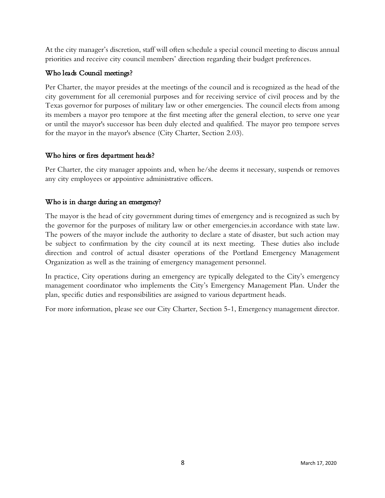At the city manager's discretion, staff will often schedule a special council meeting to discuss annual priorities and receive city council members' direction regarding their budget preferences.

## Who leads Council meetings?

Per Charter, the mayor presides at the meetings of the council and is recognized as the head of the city government for all ceremonial purposes and for receiving service of civil process and by the Texas governor for purposes of military law or other emergencies. The council elects from among its members a mayor pro tempore at the first meeting after the general election, to serve one year or until the mayor's successor has been duly elected and qualified. The mayor pro tempore serves for the mayor in the mayor's absence (City Charter, Section 2.03).

## Who hires or fires department heads?

Per Charter, the city manager appoints and, when he/she deems it necessary, suspends or removes any city employees or appointive administrative officers.

## Who is in charge during an emergency?

The mayor is the head of city government during times of emergency and is recognized as such by the governor for the purposes of military law or other emergencies.in accordance with state law. The powers of the mayor include the authority to declare a state of disaster, but such action may be subject to confirmation by the city council at its next meeting. These duties also include direction and control of actual disaster operations of the Portland Emergency Management Organization as well as the training of emergency management personnel.

In practice, City operations during an emergency are typically delegated to the City's emergency management coordinator who implements the City's Emergency Management Plan. Under the plan, specific duties and responsibilities are assigned to various department heads.

For more information, please see our City Charter, Section 5-1, Emergency management director.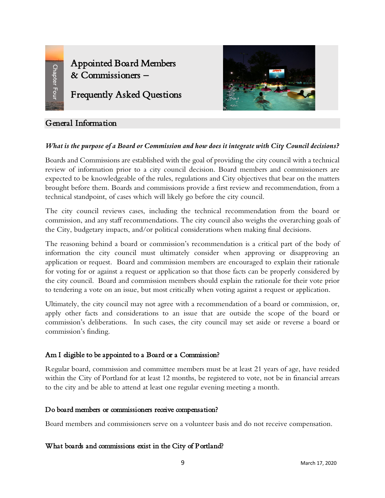<span id="page-8-0"></span>Appointed Board Members & Commissioners –

# Frequently Asked Questions

## General Information

## *What is the purpose of a Board or Commission and how does it integrate with City Council decisions?*

Boards and Commissions are established with the goal of providing the city council with a technical review of information prior to a city council decision. Board members and commissioners are expected to be knowledgeable of the rules, regulations and City objectives that bear on the matters brought before them. Boards and commissions provide a first review and recommendation, from a technical standpoint, of cases which will likely go before the city council.

The city council reviews cases, including the technical recommendation from the board or commission, and any staff recommendations. The city council also weighs the overarching goals of the City, budgetary impacts, and/or political considerations when making final decisions.

The reasoning behind a board or commission's recommendation is a critical part of the body of information the city council must ultimately consider when approving or disapproving an application or request. Board and commission members are encouraged to explain their rationale for voting for or against a request or application so that those facts can be properly considered by the city council. Board and commission members should explain the rationale for their vote prior to tendering a vote on an issue, but most critically when voting against a request or application.

Ultimately, the city council may not agree with a recommendation of a board or commission, or, apply other facts and considerations to an issue that are outside the scope of the board or commission's deliberations. In such cases, the city council may set aside or reverse a board or commission's finding.

## Am I eligible to be appointed to a Board or a Commission?

Regular board, commission and committee members must be at least 21 years of age, have resided within the City of Portland for at least 12 months, be registered to vote, not be in financial arrears to the city and be able to attend at least one regular evening meeting a month.

## Do board members or commissioners receive compensation?

Board members and commissioners serve on a volunteer basis and do not receive compensation.

## What boards and commissions exist in the City of Portland?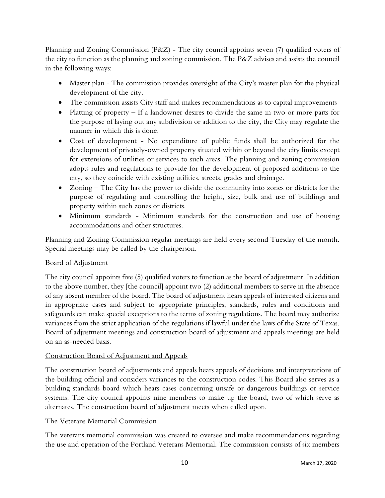Planning and Zoning Commission  $(P&Z)$  – The city council appoints seven (7) qualified voters of the city to function as the planning and zoning commission. The P&Z advises and assists the council in the following ways:

- Master plan The commission provides oversight of the City's master plan for the physical development of the city.
- The commission assists City staff and makes recommendations as to capital improvements
- Platting of property If a landowner desires to divide the same in two or more parts for the purpose of laying out any subdivision or addition to the city, the City may regulate the manner in which this is done.
- Cost of development No expenditure of public funds shall be authorized for the development of privately-owned property situated within or beyond the city limits except for extensions of utilities or services to such areas. The planning and zoning commission adopts rules and regulations to provide for the development of proposed additions to the city, so they coincide with existing utilities, streets, grades and drainage.
- Zoning The City has the power to divide the community into zones or districts for the purpose of regulating and controlling the height, size, bulk and use of buildings and property within such zones or districts.
- Minimum standards Minimum standards for the construction and use of housing accommodations and other structures.

Planning and Zoning Commission regular meetings are held every second Tuesday of the month. Special meetings may be called by the chairperson.

## Board of Adjustment

The city council appoints five (5) qualified voters to function as the board of adjustment. In addition to the above number, they [the council] appoint two (2) additional members to serve in the absence of any absent member of the board. The board of adjustment hears appeals of interested citizens and in appropriate cases and subject to appropriate principles, standards, rules and conditions and safeguards can make special exceptions to the terms of zoning regulations. The board may authorize variances from the strict application of the regulations if lawful under the laws of the State of Texas. Board of adjustment meetings and construction board of adjustment and appeals meetings are held on an as-needed basis.

## Construction Board of Adjustment and Appeals

The construction board of adjustments and appeals hears appeals of decisions and interpretations of the building official and considers variances to the construction codes. This Board also serves as a building standards board which hears cases concerning unsafe or dangerous buildings or service systems. The city council appoints nine members to make up the board, two of which serve as alternates. The construction board of adjustment meets when called upon.

## The Veterans Memorial Commission

The veterans memorial commission was created to oversee and make recommendations regarding the use and operation of the Portland Veterans Memorial. The commission consists of six members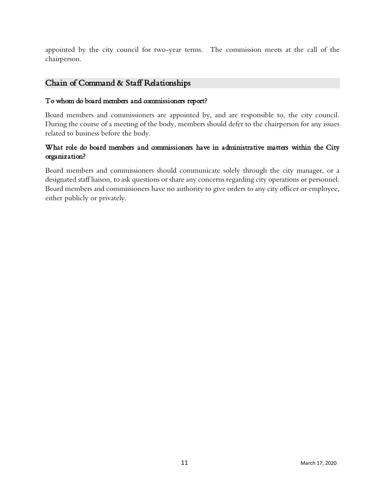appointed by the city council for two-year terms. The commission meets at the call of the chairperson.

## Chain of Command & Staff Relationships

#### To whom do board members and commissioners report?

Board members and commissioners are appointed by, and are responsible to, the city council. During the course of a meeting of the body, members should defer to the chairperson for any issues related to business before the body.

## What role do board members and commissioners have in administrative matters within the City organization?

Board members and commissioners should communicate solely through the city manager, or a designated staff liaison, to ask questions or share any concerns regarding city operations or personnel. Board members and commissioners have no authority to give orders to any city officer or employee, either publicly or privately.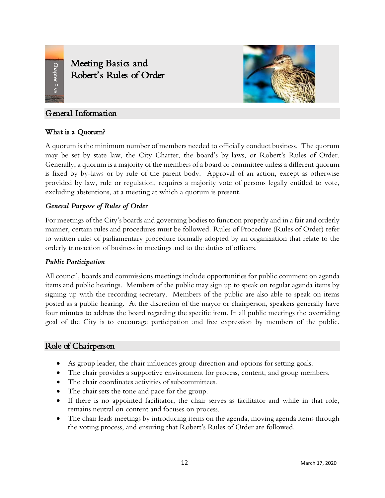# <span id="page-11-0"></span>Meeting Basics and Robert's Rules of Order



## General Information

## What is a Quorum?

A quorum is the minimum number of members needed to officially conduct business. The quorum may be set by state law, the City Charter, the board's by-laws, or Robert's Rules of Order. Generally, a quorum is a majority of the members of a board or committee unless a different quorum is fixed by by-laws or by rule of the parent body. Approval of an action, except as otherwise provided by law, rule or regulation, requires a majority vote of persons legally entitled to vote, excluding abstentions, at a meeting at which a quorum is present.

## *General Purpose of Rules of Order*

For meetings of the City's boards and governing bodies to function properly and in a fair and orderly manner, certain rules and procedures must be followed. Rules of Procedure (Rules of Order) refer to written rules of parliamentary procedure formally adopted by an organization that relate to the orderly transaction of business in meetings and to the duties of officers.

#### *Public Participation*

All council, boards and commissions meetings include opportunities for public comment on agenda items and public hearings. Members of the public may sign up to speak on regular agenda items by signing up with the recording secretary. Members of the public are also able to speak on items posted as a public hearing. At the discretion of the mayor or chairperson, speakers generally have four minutes to address the board regarding the specific item. In all public meetings the overriding goal of the City is to encourage participation and free expression by members of the public.

## Role of Chairperson

- As group leader, the chair influences group direction and options for setting goals.
- The chair provides a supportive environment for process, content, and group members.
- The chair coordinates activities of subcommittees.
- The chair sets the tone and pace for the group.
- If there is no appointed facilitator, the chair serves as facilitator and while in that role, remains neutral on content and focuses on process.
- The chair leads meetings by introducing items on the agenda, moving agenda items through the voting process, and ensuring that Robert's Rules of Order are followed.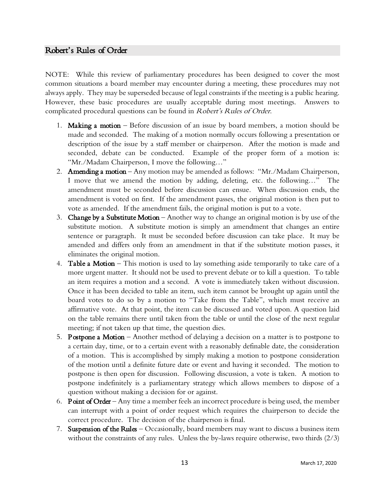#### Robert's Rules of Order

NOTE: While this review of parliamentary procedures has been designed to cover the most common situations a board member may encounter during a meeting, these procedures may not always apply. They may be superseded because of legal constraints if the meeting is a public hearing. However, these basic procedures are usually acceptable during most meetings. Answers to complicated procedural questions can be found in Robert's Rules of Order.

- 1. Making a motion Before discussion of an issue by board members, a motion should be made and seconded. The making of a motion normally occurs following a presentation or description of the issue by a staff member or chairperson. After the motion is made and seconded, debate can be conducted. Example of the proper form of a motion is: "Mr./Madam Chairperson, I move the following…"
- 2. **Amending a motion** Any motion may be amended as follows: "Mr./Madam Chairperson, I move that we amend the motion by adding, deleting, etc. the following…" The amendment must be seconded before discussion can ensue. When discussion ends, the amendment is voted on first. If the amendment passes, the original motion is then put to vote as amended. If the amendment fails, the original motion is put to a vote.
- 3. Change by a Substitute Motion Another way to change an original motion is by use of the substitute motion. A substitute motion is simply an amendment that changes an entire sentence or paragraph. It must be seconded before discussion can take place. It may be amended and differs only from an amendment in that if the substitute motion passes, it eliminates the original motion.
- 4. **Table a Motion** This motion is used to lay something aside temporarily to take care of a more urgent matter. It should not be used to prevent debate or to kill a question. To table an item requires a motion and a second. A vote is immediately taken without discussion. Once it has been decided to table an item, such item cannot be brought up again until the board votes to do so by a motion to "Take from the Table", which must receive an affirmative vote. At that point, the item can be discussed and voted upon. A question laid on the table remains there until taken from the table or until the close of the next regular meeting; if not taken up that time, the question dies.
- 5. Postpone a Motion Another method of delaying a decision on a matter is to postpone to a certain day, time, or to a certain event with a reasonably definable date, the consideration of a motion. This is accomplished by simply making a motion to postpone consideration of the motion until a definite future date or event and having it seconded. The motion to postpone is then open for discussion. Following discussion, a vote is taken. A motion to postpone indefinitely is a parliamentary strategy which allows members to dispose of a question without making a decision for or against.
- 6. Point of Order Any time a member feels an incorrect procedure is being used, the member can interrupt with a point of order request which requires the chairperson to decide the correct procedure. The decision of the chairperson is final.
- 7. Suspension of the Rules Occasionally, board members may want to discuss a business item without the constraints of any rules. Unless the by-laws require otherwise, two thirds (2/3)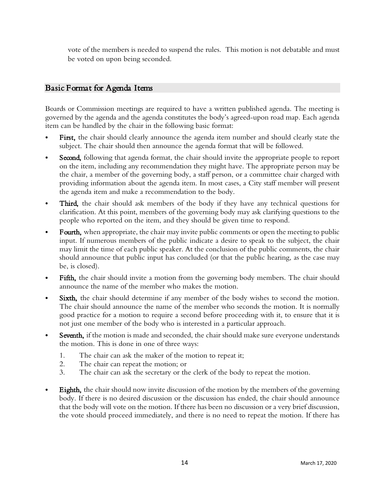vote of the members is needed to suspend the rules. This motion is not debatable and must be voted on upon being seconded.

## Basic Format for Agenda Items

Boards or Commission meetings are required to have a written published agenda. The meeting is governed by the agenda and the agenda constitutes the body's agreed-upon road map. Each agenda item can be handled by the chair in the following basic format:

- First, the chair should clearly announce the agenda item number and should clearly state the subject. The chair should then announce the agenda format that will be followed.
- **Second,** following that agenda format, the chair should invite the appropriate people to report on the item, including any recommendation they might have. The appropriate person may be the chair, a member of the governing body, a staff person, or a committee chair charged with providing information about the agenda item. In most cases, a City staff member will present the agenda item and make a recommendation to the body.
- Third, the chair should ask members of the body if they have any technical questions for clarification. At this point, members of the governing body may ask clarifying questions to the people who reported on the item, and they should be given time to respond.
- Fourth, when appropriate, the chair may invite public comments or open the meeting to public input. If numerous members of the public indicate a desire to speak to the subject, the chair may limit the time of each public speaker. At the conclusion of the public comments, the chair should announce that public input has concluded (or that the public hearing, as the case may be, is closed).
- Fifth, the chair should invite a motion from the governing body members. The chair should announce the name of the member who makes the motion.
- Sixth, the chair should determine if any member of the body wishes to second the motion. The chair should announce the name of the member who seconds the motion. It is normally good practice for a motion to require a second before proceeding with it, to ensure that it is not just one member of the body who is interested in a particular approach.
- Seventh, if the motion is made and seconded, the chair should make sure everyone understands the motion. This is done in one of three ways:
	- 1. The chair can ask the maker of the motion to repeat it;
	- 2. The chair can repeat the motion; or
	- 3. The chair can ask the secretary or the clerk of the body to repeat the motion.
- Eighth, the chair should now invite discussion of the motion by the members of the governing body. If there is no desired discussion or the discussion has ended, the chair should announce that the body will vote on the motion. If there has been no discussion or a very brief discussion, the vote should proceed immediately, and there is no need to repeat the motion. If there has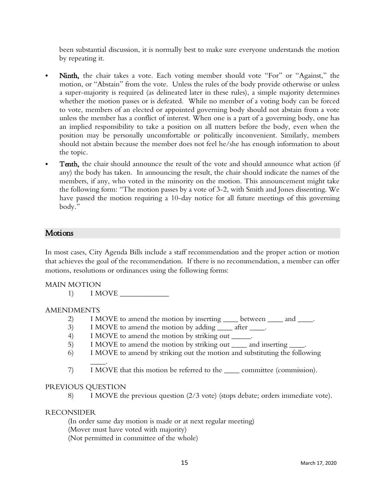been substantial discussion, it is normally best to make sure everyone understands the motion by repeating it.

- Ninth, the chair takes a vote. Each voting member should vote "For" or "Against," the motion, or "Abstain" from the vote. Unless the rules of the body provide otherwise or unless a super-majority is required (as delineated later in these rules), a simple majority determines whether the motion passes or is defeated. While no member of a voting body can be forced to vote, members of an elected or appointed governing body should not abstain from a vote unless the member has a conflict of interest. When one is a part of a governing body, one has an implied responsibility to take a position on all matters before the body, even when the position may be personally uncomfortable or politically inconvenient. Similarly, members should not abstain because the member does not feel he/she has enough information to about the topic.
- Tenth, the chair should announce the result of the vote and should announce what action (if any) the body has taken. In announcing the result, the chair should indicate the names of the members, if any, who voted in the minority on the motion. This announcement might take the following form: "The motion passes by a vote of 3-2, with Smith and Jones dissenting. We have passed the motion requiring a 10-day notice for all future meetings of this governing body."

## **Motions**

In most cases, City Agenda Bills include a staff recommendation and the proper action or motion that achieves the goal of the recommendation. If there is no recommendation, a member can offer motions, resolutions or ordinances using the following forms:

#### MAIN MOTION

1) I MOVE \_\_\_\_\_\_\_\_\_\_\_\_\_

#### AMENDMENTS

- 2) I MOVE to amend the motion by inserting \_\_\_\_\_ between \_\_\_\_\_ and \_\_\_\_\_.
- 3) I MOVE to amend the motion by adding \_\_\_\_\_ after \_\_\_\_\_.
- 4) I MOVE to amend the motion by striking out  $\blacksquare$ .
- 5) I MOVE to amend the motion by striking out <u>each</u> and inserting <u>each</u>.
- 6) I MOVE to amend by striking out the motion and substituting the following
- \_\_\_\_. 7) I MOVE that this motion be referred to the \_\_\_\_ committee (commission).

#### PREVIOUS QUESTION

8) I MOVE the previous question (2/3 vote) (stops debate; orders immediate vote).

#### RECONSIDER

(In order same day motion is made or at next regular meeting) (Mover must have voted with majority) (Not permitted in committee of the whole)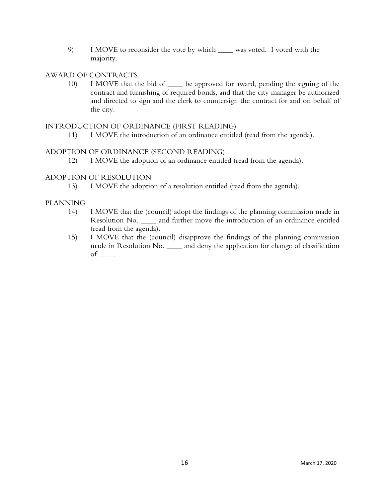9) I MOVE to reconsider the vote by which \_\_\_\_ was voted. I voted with the majority.

#### AWARD OF CONTRACTS

10) I MOVE that the bid of \_\_\_\_ be approved for award, pending the signing of the contract and furnishing of required bonds, and that the city manager be authorized and directed to sign and the clerk to countersign the contract for and on behalf of the city.

#### INTRODUCTION OF ORDINANCE (FIRST READING)

11) I MOVE the introduction of an ordinance entitled (read from the agenda).

#### ADOPTION OF ORDINANCE (SECOND READING)

12) I MOVE the adoption of an ordinance entitled (read from the agenda).

#### ADOPTION OF RESOLUTION

13) I MOVE the adoption of a resolution entitled (read from the agenda).

#### PLANNING

- 14) I MOVE that the (council) adopt the findings of the planning commission made in Resolution No. \_\_\_\_ and further move the introduction of an ordinance entitled (read from the agenda).
- <span id="page-15-0"></span>15) I MOVE that the (council) disapprove the findings of the planning commission made in Resolution No. \_\_\_\_\_ and deny the application for change of classification of \_\_\_\_.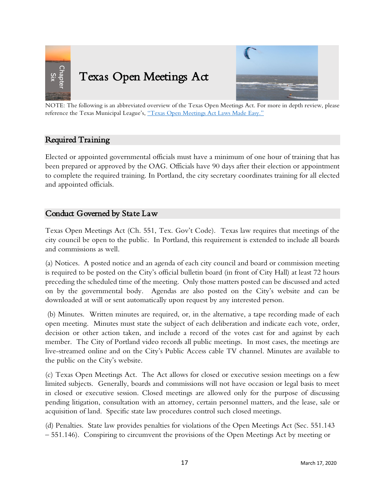



NOTE: The following is an abbreviated overview of the Texas Open Meetings Act. For more in depth review, please reference the Texas Municipal League's, ["Texas Open Meetings Act Laws Made Easy."](https://www.tml.org/DocumentCenter/View/420/Texas-Open-Meetings-Act-Laws-Made-Easy-PDF)

## Required Training

Elected or appointed governmental officials must have a minimum of one hour of training that has been prepared or approved by the OAG. Officials have 90 days after their election or appointment to complete the required training. In Portland, the city secretary coordinates training for all elected and appointed officials.

## Conduct Governed by State Law

Texas Open Meetings Act (Ch. 551, Tex. Gov't Code). Texas law requires that meetings of the city council be open to the public. In Portland, this requirement is extended to include all boards and commissions as well.

(a) Notices. A posted notice and an agenda of each city council and board or commission meeting is required to be posted on the City's official bulletin board (in front of City Hall) at least 72 hours preceding the scheduled time of the meeting. Only those matters posted can be discussed and acted on by the governmental body. Agendas are also posted on the City's website and can be downloaded at will or sent automatically upon request by any interested person.

(b) Minutes. Written minutes are required, or, in the alternative, a tape recording made of each open meeting. Minutes must state the subject of each deliberation and indicate each vote, order, decision or other action taken, and include a record of the votes cast for and against by each member. The City of Portland video records all public meetings. In most cases, the meetings are live-streamed online and on the City's Public Access cable TV channel. Minutes are available to the public on the City's website.

(c) Texas Open Meetings Act. The Act allows for closed or executive session meetings on a few limited subjects. Generally, boards and commissions will not have occasion or legal basis to meet in closed or executive session. Closed meetings are allowed only for the purpose of discussing pending litigation, consultation with an attorney, certain personnel matters, and the lease, sale or acquisition of land. Specific state law procedures control such closed meetings.

(d) Penalties. State law provides penalties for violations of the Open Meetings Act (Sec. 551.143 – 551.146). Conspiring to circumvent the provisions of the Open Meetings Act by meeting or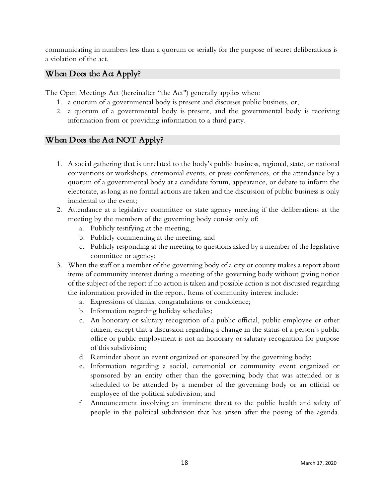communicating in numbers less than a quorum or serially for the purpose of secret deliberations is a violation of the act.

## When Does the Act Apply?

The Open Meetings Act (hereinafter "the Act") generally applies when:

- 1. a quorum of a governmental body is present and discusses public business, or,
- 2. a quorum of a governmental body is present, and the governmental body is receiving information from or providing information to a third party.

## When Does the  $A\alpha$  NOT Apply?

- 1. A social gathering that is unrelated to the body's public business, regional, state, or national conventions or workshops, ceremonial events, or press conferences, or the attendance by a quorum of a governmental body at a candidate forum, appearance, or debate to inform the electorate, as long as no formal actions are taken and the discussion of public business is only incidental to the event;
- 2. Attendance at a legislative committee or state agency meeting if the deliberations at the meeting by the members of the governing body consist only of:
	- a. Publicly testifying at the meeting,
	- b. Publicly commenting at the meeting, and
	- c. Publicly responding at the meeting to questions asked by a member of the legislative committee or agency;
- 3. When the staff or a member of the governing body of a city or county makes a report about items of community interest during a meeting of the governing body without giving notice of the subject of the report if no action is taken and possible action is not discussed regarding the information provided in the report. Items of community interest include:
	- a. Expressions of thanks, congratulations or condolence;
	- b. Information regarding holiday schedules;
	- c. An honorary or salutary recognition of a public official, public employee or other citizen, except that a discussion regarding a change in the status of a person's public office or public employment is not an honorary or salutary recognition for purpose of this subdivision;
	- d. Reminder about an event organized or sponsored by the governing body;
	- e. Information regarding a social, ceremonial or community event organized or sponsored by an entity other than the governing body that was attended or is scheduled to be attended by a member of the governing body or an official or employee of the political subdivision; and
	- f. Announcement involving an imminent threat to the public health and safety of people in the political subdivision that has arisen after the posing of the agenda.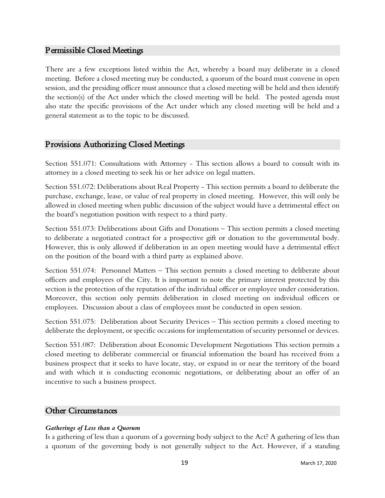## Permissible Closed Meetings

There are a few exceptions listed within the Act, whereby a board may deliberate in a closed meeting. Before a closed meeting may be conducted, a quorum of the board must convene in open session, and the presiding officer must announce that a closed meeting will be held and then identify the section(s) of the Act under which the closed meeting will be held. The posted agenda must also state the specific provisions of the Act under which any closed meeting will be held and a general statement as to the topic to be discussed.

## Provisions Authorizing Closed Meetings

Section 551.071: Consultations with Attorney - This section allows a board to consult with its attorney in a closed meeting to seek his or her advice on legal matters.

Section 551.072: Deliberations about Real Property - This section permits a board to deliberate the purchase, exchange, lease, or value of real property in closed meeting. However, this will only be allowed in closed meeting when public discussion of the subject would have a detrimental effect on the board's negotiation position with respect to a third party.

Section 551.073: Deliberations about Gifts and Donations – This section permits a closed meeting to deliberate a negotiated contract for a prospective gift or donation to the governmental body. However, this is only allowed if deliberation in an open meeting would have a detrimental effect on the position of the board with a third party as explained above.

Section 551.074: Personnel Matters – This section permits a closed meeting to deliberate about officers and employees of the City. It is important to note the primary interest protected by this section is the protection of the reputation of the individual officer or employee under consideration. Moreover, this section only permits deliberation in closed meeting on individual officers or employees. Discussion about a class of employees must be conducted in open session.

Section 551.075: Deliberation about Security Devices – This section permits a closed meeting to deliberate the deployment, or specific occasions for implementation of security personnel or devices.

Section 551.087: Deliberation about Economic Development Negotiations This section permits a closed meeting to deliberate commercial or financial information the board has received from a business prospect that it seeks to have locate, stay, or expand in or near the territory of the board and with which it is conducting economic negotiations, or deliberating about an offer of an incentive to such a business prospect.

## Other Circumstances

#### *Gatherings of Less than a Quorum*

Is a gathering of less than a quorum of a governing body subject to the Act? A gathering of less than a quorum of the governing body is not generally subject to the Act. However, if a standing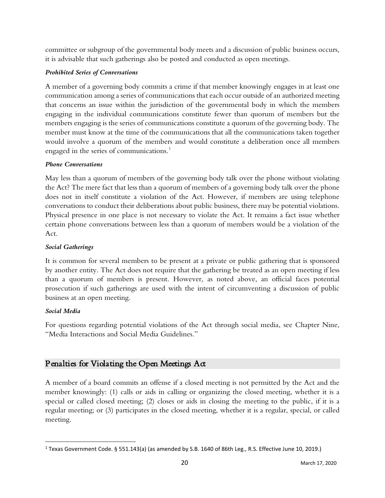committee or subgroup of the governmental body meets and a discussion of public business occurs, it is advisable that such gatherings also be posted and conducted as open meetings.

#### *Prohibited Series of Conversations*

A member of a governing body commits a crime if that member knowingly engages in at least one communication among a series of communications that each occur outside of an authorized meeting that concerns an issue within the jurisdiction of the governmental body in which the members engaging in the individual communications constitute fewer than quorum of members but the members engaging is the series of communications constitute a quorum of the governing body. The member must know at the time of the communications that all the communications taken together would involve a quorum of the members and would constitute a deliberation once all members engaged in the series of communications.<sup>[1](#page-19-0)</sup>

#### *Phone Conversations*

May less than a quorum of members of the governing body talk over the phone without violating the Act? The mere fact that less than a quorum of members of a governing body talk over the phone does not in itself constitute a violation of the Act. However, if members are using telephone conversations to conduct their deliberations about public business, there may be potential violations. Physical presence in one place is not necessary to violate the Act. It remains a fact issue whether certain phone conversations between less than a quorum of members would be a violation of the Act.

#### *Social Gatherings*

It is common for several members to be present at a private or public gathering that is sponsored by another entity. The Act does not require that the gathering be treated as an open meeting if less than a quorum of members is present. However, as noted above, an official faces potential prosecution if such gatherings are used with the intent of circumventing a discussion of public business at an open meeting.

#### *Social Media*

For questions regarding potential violations of the Act through social media, see Chapter Nine, "Media Interactions and Social Media Guidelines."

## Penalties for Violating the Open Meetings Act

A member of a board commits an offense if a closed meeting is not permitted by the Act and the member knowingly: (1) calls or aids in calling or organizing the closed meeting, whether it is a special or called closed meeting; (2) closes or aids in closing the meeting to the public, if it is a regular meeting; or (3) participates in the closed meeting, whether it is a regular, special, or called meeting.

<span id="page-19-0"></span><sup>1</sup> Texas Government Code. § 551.143(a) (as amended by S.B. 1640 of 86th Leg., R.S. Effective June 10, 2019.)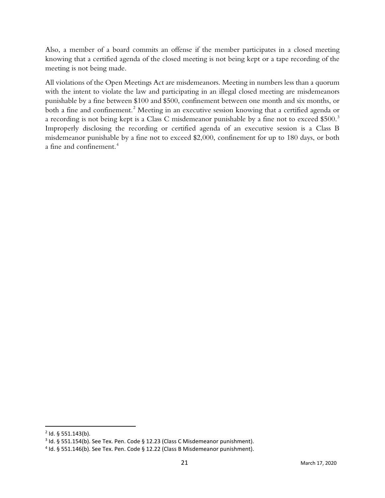Also, a member of a board commits an offense if the member participates in a closed meeting knowing that a certified agenda of the closed meeting is not being kept or a tape recording of the meeting is not being made.

All violations of the Open Meetings Act are misdemeanors. Meeting in numbers less than a quorum with the intent to violate the law and participating in an illegal closed meeting are misdemeanors punishable by a fine between \$100 and \$500, confinement between one month and six months, or both a fine and confinement.<sup>[2](#page-20-0)</sup> Meeting in an executive session knowing that a certified agenda or a recording is not being kept is a Class C misdemeanor punishable by a fine not to exceed \$500.<sup>[3](#page-20-1)</sup> Improperly disclosing the recording or certified agenda of an executive session is a Class B misdemeanor punishable by a fine not to exceed \$2,000, confinement for up to 180 days, or both a fine and confinement.[4](#page-20-2)

<span id="page-20-0"></span> $2$  Id. § 551.143(b).

<span id="page-20-1"></span><sup>3</sup> Id. § 551.154(b). See Tex. Pen. Code § 12.23 (Class C Misdemeanor punishment).

<span id="page-20-2"></span><sup>4</sup> Id. § 551.146(b). See Tex. Pen. Code § 12.22 (Class B Misdemeanor punishment).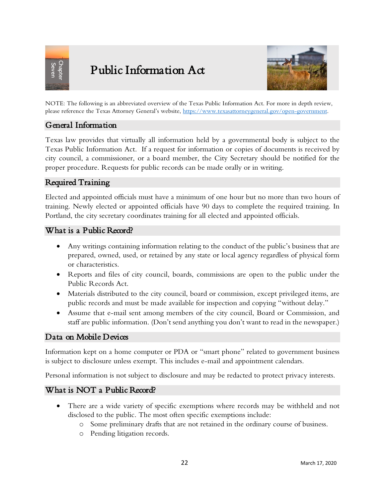<span id="page-21-0"></span>

# Public Information Act



NOTE: The following is an abbreviated overview of the Texas Public Information Act. For more in depth review, please reference the Texas Attorney General's website, [https://www.texasattorneygeneral.gov/open-government.](https://www.texasattorneygeneral.gov/open-government)

## General Information

Texas law provides that virtually all information held by a governmental body is subject to the Texas Public Information Act. If a request for information or copies of documents is received by city council, a commissioner, or a board member, the City Secretary should be notified for the proper procedure. Requests for public records can be made orally or in writing.

## Required Training

Elected and appointed officials must have a minimum of one hour but no more than two hours of training. Newly elected or appointed officials have 90 days to complete the required training. In Portland, the city secretary coordinates training for all elected and appointed officials.

## What is a Public Record?

- Any writings containing information relating to the conduct of the public's business that are prepared, owned, used, or retained by any state or local agency regardless of physical form or characteristics.
- Reports and files of city council, boards, commissions are open to the public under the Public Records Act.
- Materials distributed to the city council, board or commission, except privileged items, are public records and must be made available for inspection and copying "without delay."
- Assume that e-mail sent among members of the city council, Board or Commission, and staff are public information. (Don't send anything you don't want to read in the newspaper.)

## Data on Mobile Devices

Information kept on a home computer or PDA or "smart phone" related to government business is subject to disclosure unless exempt. This includes e-mail and appointment calendars.

Personal information is not subject to disclosure and may be redacted to protect privacy interests.

## What is NOT a Public Record?

- There are a wide variety of specific exemptions where records may be withheld and not disclosed to the public. The most often specific exemptions include:
	- o Some preliminary drafts that are not retained in the ordinary course of business.
	- o Pending litigation records.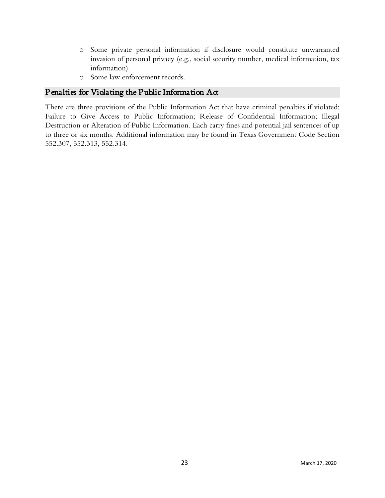- o Some private personal information if disclosure would constitute unwarranted invasion of personal privacy (e.g., social security number, medical information, tax information).
- o Some law enforcement records.

## Penalties for Violating the Public Information Act

There are three provisions of the Public Information Act that have criminal penalties if violated: Failure to Give Access to Public Information; Release of Confidential Information; Illegal Destruction or Alteration of Public Information. Each carry fines and potential jail sentences of up to three or six months. Additional information may be found in Texas Government Code Section 552.307, 552.313, 552.314.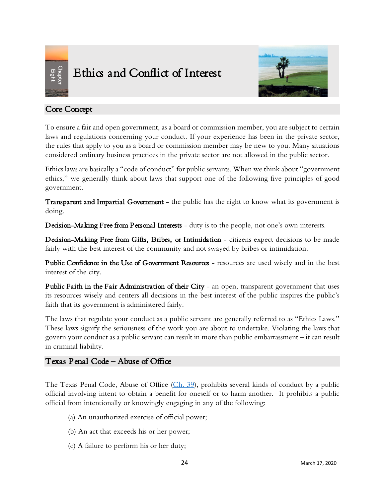<span id="page-23-0"></span>

# Ethics and Conflict of Interest



## Core Concept

To ensure a fair and open government, as a board or commission member, you are subject to certain laws and regulations concerning your conduct. If your experience has been in the private sector, the rules that apply to you as a board or commission member may be new to you. Many situations considered ordinary business practices in the private sector are not allowed in the public sector.

Ethics laws are basically a "code of conduct" for public servants. When we think about "government ethics," we generally think about laws that support one of the following five principles of good government.

Transparent and Impartial Government - the public has the right to know what its government is doing.

Decision-Making Free from Personal Interests - duty is to the people, not one's own interests.

Decision-Making Free from Gifts, Bribes, or Intimidation - citizens expect decisions to be made fairly with the best interest of the community and not swayed by bribes or intimidation.

Public Confidence in the Use of Government Resources - resources are used wisely and in the best interest of the city.

Public Faith in the Fair Administration of their City - an open, transparent government that uses its resources wisely and centers all decisions in the best interest of the public inspires the public's faith that its government is administered fairly.

The laws that regulate your conduct as a public servant are generally referred to as "Ethics Laws." These laws signify the seriousness of the work you are about to undertake. Violating the laws that govern your conduct as a public servant can result in more than public embarrassment – it can result in criminal liability.

## Texas Penal Code – Abuse of Office

The Texas Penal Code, Abuse of Office [\(Ch. 39\)](https://statutes.capitol.texas.gov/Docs/PE/htm/PE.39.htm), prohibits several kinds of conduct by a public official involving intent to obtain a benefit for oneself or to harm another. It prohibits a public official from intentionally or knowingly engaging in any of the following:

- (a) An unauthorized exercise of official power;
- (b) An act that exceeds his or her power;
- (c) A failure to perform his or her duty;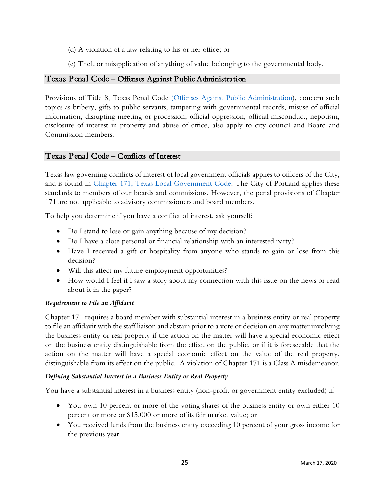- (d) A violation of a law relating to his or her office; or
- (e) Theft or misapplication of anything of value belonging to the governmental body.

## Texas Penal Code – Offenses Against Public Administration

Provisions of Title 8, Texas Penal Code [\(Offenses Against Public Administration\)](https://statutes.capitol.texas.gov/Docs/PE/htm/PE.39.htm), concern such topics as bribery, gifts to public servants, tampering with governmental records, misuse of official information, disrupting meeting or procession, official oppression, official misconduct, nepotism, disclosure of interest in property and abuse of office, also apply to city council and Board and Commission members.

## Texas Penal Code – Conflicts of Interest

Texas law governing conflicts of interest of local government officials applies to officers of the City, and is found in [Chapter 171, Texas Local Government Code.](https://statutes.capitol.texas.gov/Docs/LG/htm/LG.171.htm) The City of Portland applies these standards to members of our boards and commissions. However, the penal provisions of Chapter 171 are not applicable to advisory commissioners and board members.

To help you determine if you have a conflict of interest, ask yourself:

- Do I stand to lose or gain anything because of my decision?
- Do I have a close personal or financial relationship with an interested party?
- Have I received a gift or hospitality from anyone who stands to gain or lose from this decision?
- Will this affect my future employment opportunities?
- How would I feel if I saw a story about my connection with this issue on the news or read about it in the paper?

#### *Requirement to File an Affidavit*

Chapter 171 requires a board member with substantial interest in a business entity or real property to file an affidavit with the staff liaison and abstain prior to a vote or decision on any matter involving the business entity or real property if the action on the matter will have a special economic effect on the business entity distinguishable from the effect on the public, or if it is foreseeable that the action on the matter will have a special economic effect on the value of the real property, distinguishable from its effect on the public. A violation of Chapter 171 is a Class A misdemeanor.

#### *Defining Substantial Interest in a Business Entity or Real Property*

You have a substantial interest in a business entity (non-profit or government entity excluded) if:

- You own 10 percent or more of the voting shares of the business entity or own either 10 percent or more or \$15,000 or more of its fair market value; or
- You received funds from the business entity exceeding 10 percent of your gross income for the previous year.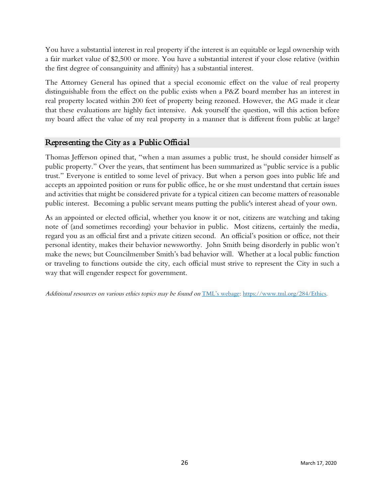You have a substantial interest in real property if the interest is an equitable or legal ownership with a fair market value of \$2,500 or more. You have a substantial interest if your close relative (within the first degree of consanguinity and affinity) has a substantial interest.

The Attorney General has opined that a special economic effect on the value of real property distinguishable from the effect on the public exists when a P&Z board member has an interest in real property located within 200 feet of property being rezoned. However, the AG made it clear that these evaluations are highly fact intensive. Ask yourself the question, will this action before my board affect the value of my real property in a manner that is different from public at large?

## Representing the City as a Public Official

Thomas Jefferson opined that, "when a man assumes a public trust, he should consider himself as public property." Over the years, that sentiment has been summarized as "public service is a public trust." Everyone is entitled to some level of privacy. But when a person goes into public life and accepts an appointed position or runs for public office, he or she must understand that certain issues and activities that might be considered private for a typical citizen can become matters of reasonable public interest. Becoming a public servant means putting the public's interest ahead of your own.

As an appointed or elected official, whether you know it or not, citizens are watching and taking note of (and sometimes recording) your behavior in public. Most citizens, certainly the media, regard you as an official first and a private citizen second. An official's position or office, not their personal identity, makes their behavior newsworthy. John Smith being disorderly in public won't make the news; but Councilmember Smith's bad behavior will. Whether at a local public function or traveling to functions outside the city, each official must strive to represent the City in such a way that will engender respect for government.

Additional resources on various ethics topics may be found on [TML's webage: https://www.tml.org/284/Ethics.](https://www.tml.org/284/Ethics)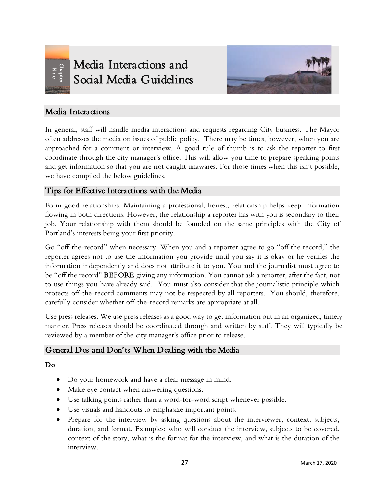<span id="page-26-0"></span>

# Media Interactions and Social Media Guidelines



## Media Interactions

In general, staff will handle media interactions and requests regarding City business. The Mayor often addresses the media on issues of public policy. There may be times, however, when you are approached for a comment or interview. A good rule of thumb is to ask the reporter to first coordinate through the city manager's office. This will allow you time to prepare speaking points and get information so that you are not caught unawares. For those times when this isn't possible, we have compiled the below guidelines.

## Tips for Effective Interactions with the Media

Form good relationships. Maintaining a professional, honest, relationship helps keep information flowing in both directions. However, the relationship a reporter has with you is secondary to their job. Your relationship with them should be founded on the same principles with the City of Portland's interests being your first priority.

Go "off-the-record" when necessary. When you and a reporter agree to go "off the record," the reporter agrees not to use the information you provide until you say it is okay or he verifies the information independently and does not attribute it to you. You and the journalist must agree to be "off the record" **BEFORE** giving any information. You cannot ask a reporter, after the fact, not to use things you have already said. You must also consider that the journalistic principle which protects off-the-record comments may not be respected by all reporters. You should, therefore, carefully consider whether off-the-record remarks are appropriate at all.

Use press releases. We use press releases as a good way to get information out in an organized, timely manner. Press releases should be coordinated through and written by staff. They will typically be reviewed by a member of the city manager's office prior to release.

## General Dos and Don'ts When Dealing with the Media

## Do

- Do your homework and have a clear message in mind.
- Make eye contact when answering questions.
- Use talking points rather than a word-for-word script whenever possible.
- Use visuals and handouts to emphasize important points.
- Prepare for the interview by asking questions about the interviewer, context, subjects, duration, and format. Examples: who will conduct the interview, subjects to be covered, context of the story, what is the format for the interview, and what is the duration of the interview.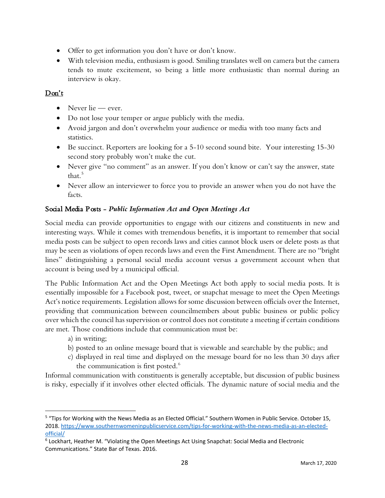- Offer to get information you don't have or don't know.
- With television media, enthusiasm is good. Smiling translates well on camera but the camera tends to mute excitement, so being a little more enthusiastic than normal during an interview is okay.

## Don't

- Never lie ever.
- Do not lose your temper or argue publicly with the media.
- Avoid jargon and don't overwhelm your audience or media with too many facts and statistics.
- Be succinct. Reporters are looking for a 5-10 second sound bite. Your interesting 15-30 second story probably won't make the cut.
- Never give "no comment" as an answer. If you don't know or can't say the answer, state that  $5$
- Never allow an interviewer to force you to provide an answer when you do not have the facts.

## Social Media Posts - *Public Information Act and Open Meetings Act*

Social media can provide opportunities to engage with our citizens and constituents in new and interesting ways. While it comes with tremendous benefits, it is important to remember that social media posts can be subject to open records laws and cities cannot block users or delete posts as that may be seen as violations of open records laws and even the First Amendment. There are no "bright lines" distinguishing a personal social media account versus a government account when that account is being used by a municipal official.

The Public Information Act and the Open Meetings Act both apply to social media posts. It is essentially impossible for a Facebook post, tweet, or snapchat message to meet the Open Meetings Act's notice requirements. Legislation allows for some discussion between officials over the Internet, providing that communication between councilmembers about public business or public policy over which the council has supervision or control does not constitute a meeting if certain conditions are met. Those conditions include that communication must be:

- a) in writing;
- b) posted to an online message board that is viewable and searchable by the public; and
- c) displayed in real time and displayed on the message board for no less than 30 days after the communication is first posted.<sup>[6](#page-27-1)</sup>

Informal communication with constituents is generally acceptable, but discussion of public business is risky, especially if it involves other elected officials. The dynamic nature of social media and the

<span id="page-27-0"></span><sup>5</sup> "Tips for Working with the News Media as an Elected Official." Southern Women in Public Service. October 15, 2018. [https://www.southernwomeninpublicservice.com/tips-for-working-with-the-news-media-as-an-elected](https://www.southernwomeninpublicservice.com/tips-for-working-with-the-news-media-as-an-elected-official/)[official/](https://www.southernwomeninpublicservice.com/tips-for-working-with-the-news-media-as-an-elected-official/)

<span id="page-27-1"></span><sup>6</sup> Lockhart, Heather M. "Violating the Open Meetings Act Using Snapchat: Social Media and Electronic Communications." State Bar of Texas. 2016.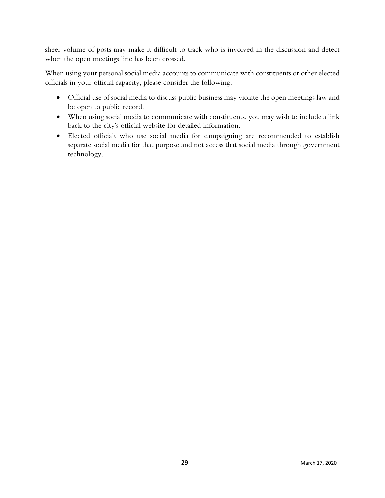sheer volume of posts may make it difficult to track who is involved in the discussion and detect when the open meetings line has been crossed.

When using your personal social media accounts to communicate with constituents or other elected officials in your official capacity, please consider the following:

- Official use of social media to discuss public business may violate the open meetings law and be open to public record.
- When using social media to communicate with constituents, you may wish to include a link back to the city's official website for detailed information.
- Elected officials who use social media for campaigning are recommended to establish separate social media for that purpose and not access that social media through government technology.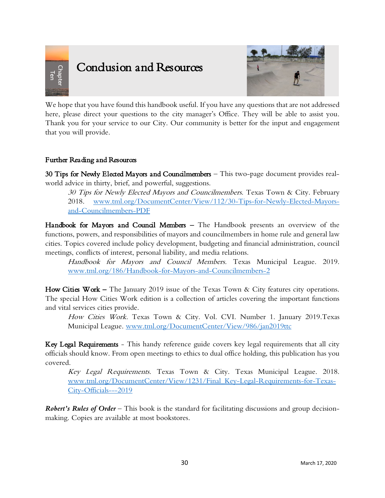<span id="page-29-0"></span>

# Condusion and Resources



We hope that you have found this handbook useful. If you have any questions that are not addressed here, please direct your questions to the city manager's Office. They will be able to assist you. Thank you for your service to our City. Our community is better for the input and engagement that you will provide. **Conclusion and Resource**<br>We hope that you have found this handbook usefulcer, please direct your questions to the city m<br>Thank you for your gerice to our City. Our complement that you will provide.<br>Further Reading and Re

## Further Reading and Resources

30 Tips for Newly Elected Mayors and Councilmembers – This two-page document provides realworld advice in thirty, brief, and powerful, suggestions.

30 Tips for Newly Elected Mayors and Councilmembers. Texas Town & City. February 2018. [www.tml.org/DocumentCenter/View/112/30-Tips-for-Newly-Elected-Mayors](http://www.tml.org/DocumentCenter/View/112/30-Tips-for-Newly-Elected-Mayors-and-Councilmembers-PDF)[and-Councilmembers-PDF](http://www.tml.org/DocumentCenter/View/112/30-Tips-for-Newly-Elected-Mayors-and-Councilmembers-PDF)

Handbook for Mayors and Council Members - The Handbook presents an overview of the functions, powers, and responsibilities of mayors and councilmembers in home rule and general law cities. Topics covered include policy development, budgeting and financial administration, council meetings, conflicts of interest, personal liability, and media relations.

Handbook for Mayors and Council Members. Texas Municipal League. 2019. [www.tml.org/186/Handbook-for-Mayors-and-Councilmembers-2](https://www.tml.org/186/Handbook-for-Mayors-and-Councilmembers-2)

How Cities Work – The January 2019 issue of the Texas Town & City features city operations. The special How Cities Work edition is a collection of articles covering the important functions and vital services cities provide.

How Cities Work. Texas Town & City. Vol. CVI. Number 1. January 2019.Texas Municipal League. [www.tml.org/DocumentCenter/View/986/jan2019ttc](http://www.tml.org/DocumentCenter/View/986/jan2019ttc)

Key Legal Requirements - This handy reference guide covers key legal requirements that all city officials should know. From open meetings to ethics to dual office holding, this publication has you covered.

Key Legal Requirements. Texas Town & City. Texas Municipal League. 2018. [www.tml.org/DocumentCenter/View/1231/Final\\_Key-Legal-Requirements-for-Texas-](https://www.tml.org/DocumentCenter/View/1231/Final_Key-Legal-Requirements-for-Texas-City-Officials---2019)[City-Officials---2019](https://www.tml.org/DocumentCenter/View/1231/Final_Key-Legal-Requirements-for-Texas-City-Officials---2019)

*Robert's Rules of Order* – This book is the standard for facilitating discussions and group decision-